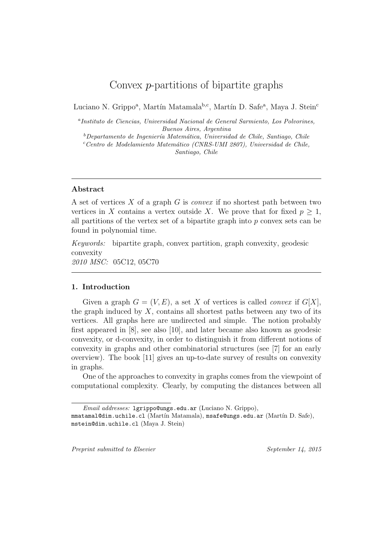# Convex *p*-partitions of bipartite graphs

Luciano N. Grippo<sup>a</sup>, Martín Matamala<sup>b,c</sup>, Martín D. Safe<sup>a</sup>, Maya J. Stein<sup>c</sup>

*a Instituto de Ciencias, Universidad Nacional de General Sarmiento, Los Polvorines, Buenos Aires, Argentina*

<sup>*b*</sup>Departamento de Ingeniería Matemática, Universidad de Chile, Santiago, Chile

*<sup>c</sup>Centro de Modelamiento Matem´atico (CNRS-UMI 2807), Universidad de Chile, Santiago, Chile*

## **Abstract**

A set of vertices *X* of a graph *G* is *convex* if no shortest path between two vertices in *X* contains a vertex outside *X*. We prove that for fixed  $p \geq 1$ , all partitions of the vertex set of a bipartite graph into *p* convex sets can be found in polynomial time.

*Keywords:* bipartite graph, convex partition, graph convexity, geodesic convexity *2010 MSC:* 05C12, 05C70

# **1. Introduction**

Given a graph  $G = (V, E)$ , a set X of vertices is called *convex* if  $G[X]$ , the graph induced by *X*, contains all shortest paths between any two of its vertices. All graphs here are undirected and simple. The notion probably first appeared in [8], see also [10], and later became also known as geodesic convexity, or d-convexity, in order to distinguish it from different notions of convexity in graphs and other combinatorial structures (see [7] for an early overview). The book [11] gives an up-to-date survey of results on convexity in graphs.

One of the approaches to convexity in graphs comes from the viewpoint of computational complexity. Clearly, by computing the distances between all

*Preprint submitted to Elsevier September 14, 2015*

*Email addresses:* lgrippo@ungs.edu.ar (Luciano N. Grippo),

mmatamal@dim.uchile.cl (Martín Matamala), msafe@ungs.edu.ar (Martín D. Safe), mstein@dim.uchile.cl (Maya J. Stein)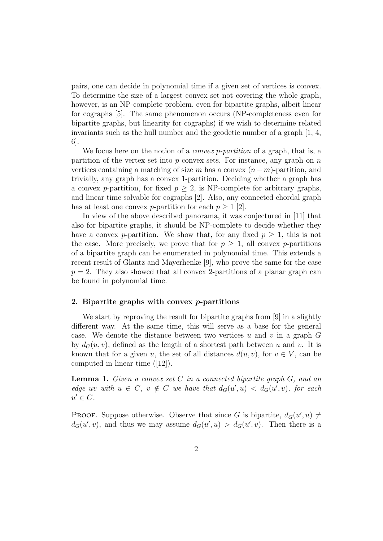pairs, one can decide in polynomial time if a given set of vertices is convex. To determine the size of a largest convex set not covering the whole graph, however, is an NP-complete problem, even for bipartite graphs, albeit linear for cographs [5]. The same phenomenon occurs (NP-completeness even for bipartite graphs, but linearity for cographs) if we wish to determine related invariants such as the hull number and the geodetic number of a graph [1, 4, 6].

We focus here on the notion of a *convex p-partition* of a graph, that is, a partition of the vertex set into *p* convex sets. For instance, any graph on *n* vertices containing a matching of size  $m$  has a convex  $(n - m)$ -partition, and trivially, any graph has a convex 1-partition. Deciding whether a graph has a convex *p*-partition, for fixed  $p \geq 2$ , is NP-complete for arbitrary graphs, and linear time solvable for cographs [2]. Also, any connected chordal graph has at least one convex *p*-partition for each  $p \geq 1$  [2].

In view of the above described panorama, it was conjectured in [11] that also for bipartite graphs, it should be NP-complete to decide whether they have a convex *p*-partition. We show that, for any fixed  $p \geq 1$ , this is not the case. More precisely, we prove that for  $p \geq 1$ , all convex *p*-partitions of a bipartite graph can be enumerated in polynomial time. This extends a recent result of Glantz and Mayerhenke [9], who prove the same for the case  $p = 2$ . They also showed that all convex 2-partitions of a planar graph can be found in polynomial time.

#### **2. Bipartite graphs with convex** *p***-partitions**

We start by reproving the result for bipartite graphs from [9] in a slightly different way. At the same time, this will serve as a base for the general case. We denote the distance between two vertices  $u$  and  $v$  in a graph  $G$ by  $d_G(u, v)$ , defined as the length of a shortest path between u and v. It is known that for a given *u*, the set of all distances  $d(u, v)$ , for  $v \in V$ , can be computed in linear time ([12]).

**Lemma 1.** *Given a convex set C in a connected bipartite graph G, and an* edge uv with  $u \in C$ ,  $v \notin C$  we have that  $d_G(u', u) < d_G(u', v)$ , for each  $u' \in C$ *.* 

PROOF. Suppose otherwise. Observe that since *G* is bipartite,  $d_G(u', u) \neq$  $d_G(u', v)$ , and thus we may assume  $d_G(u', u) > d_G(u', v)$ . Then there is a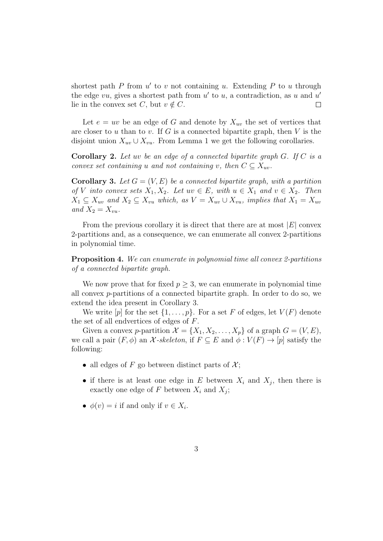shortest path *P* from *u ′* to *v* not containing *u*. Extending *P* to *u* through the edge *vu*, gives a shortest path from *u ′* to *u*, a contradiction, as *u* and *u ′* lie in the convex set *C*, but  $v \notin C$ .  $\Box$ 

Let  $e = uv$  be an edge of *G* and denote by  $X_{uv}$  the set of vertices that are closer to *u* than to *v*. If *G* is a connected bipartite graph, then *V* is the disjoint union  $X_{uv} \cup X_{vu}$ . From Lemma 1 we get the following corollaries.

**Corollary 2.** *Let uv be an edge of a connected bipartite graph G. If C is a convex set containing u and not containing v, then*  $C \subseteq X_{uv}$ *.* 

**Corollary 3.** Let  $G = (V, E)$  be a connected bipartite graph, with a partition *of V into convex sets*  $X_1, X_2$ *. Let*  $uv \in E$ *, with*  $u \in X_1$  *and*  $v \in X_2$ *. Then*  $X_1 \subseteq X_{uv}$  and  $X_2 \subseteq X_{vu}$  which, as  $V = X_{uv} \cup X_{vu}$ , implies that  $X_1 = X_{uv}$ and  $X_2 = X_{vu}$ .

From the previous corollary it is direct that there are at most  $|E|$  convex 2-partitions and, as a consequence, we can enumerate all convex 2-partitions in polynomial time.

**Proposition 4.** *We can enumerate in polynomial time all convex 2-partitions of a connected bipartite graph.*

We now prove that for fixed  $p \geq 3$ , we can enumerate in polynomial time all convex *p*-partitions of a connected bipartite graph. In order to do so, we extend the idea present in Corollary 3.

We write  $[p]$  for the set  $\{1, \ldots, p\}$ . For a set *F* of edges, let  $V(F)$  denote the set of all endvertices of edges of *F*.

Given a convex *p*-partition  $\mathcal{X} = \{X_1, X_2, \ldots, X_p\}$  of a graph  $G = (V, E)$ , we call a pair  $(F, \phi)$  an *X*-skeleton, if  $F \subseteq E$  and  $\phi : V(F) \to [p]$  satisfy the following:

- all edges of  $F$  go between distinct parts of  $\mathcal{X}$ ;
- if there is at least one edge in  $E$  between  $X_i$  and  $X_j$ , then there is exactly one edge of  $F$  between  $X_i$  and  $X_j$ ;
- $\phi(v) = i$  if and only if  $v \in X_i$ .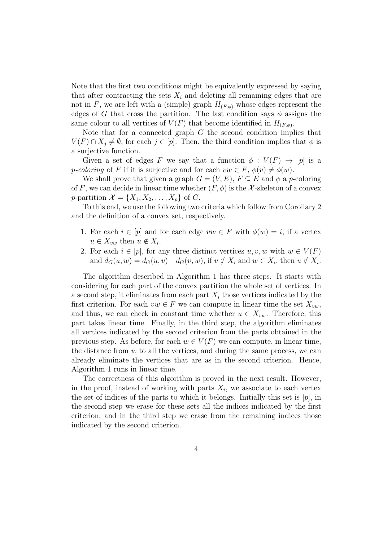Note that the first two conditions might be equivalently expressed by saying that after contracting the sets  $X_i$  and deleting all remaining edges that are not in *F*, we are left with a (simple) graph  $H_{(F,\phi)}$  whose edges represent the edges of *G* that cross the partition. The last condition says  $\phi$  assigns the same colour to all vertices of  $V(F)$  that become identified in  $H_{(F,\phi)}$ .

Note that for a connected graph *G* the second condition implies that *V*(*F*) ∩  $X_i \neq \emptyset$ , for each  $j \in [p]$ . Then, the third condition implies that  $\phi$  is a surjective function.

Given a set of edges *F* we say that a function  $\phi : V(F) \to [p]$  is a *p*-*coloring* of *F* if it is surjective and for each  $vw \in F$ ,  $\phi(v) \neq \phi(w)$ .

We shall prove that given a graph  $G = (V, E)$ ,  $F \subseteq E$  and  $\phi$  a *p*-coloring of *F*, we can decide in linear time whether  $(F, \phi)$  is the *X*-skeleton of a convex  $p$ -partition  $\mathcal{X} = \{X_1, X_2, \ldots, X_p\}$  of *G*.

To this end, we use the following two criteria which follow from Corollary 2 and the definition of a convex set, respectively.

- 1. For each  $i \in [p]$  and for each edge  $vw \in F$  with  $\phi(w) = i$ , if a vertex  $u \in X_{vw}$  then  $u \notin X_i$ .
- 2. For each  $i \in [p]$ , for any three distinct vertices  $u, v, w$  with  $w \in V(F)$ and  $d_G(u, w) = d_G(u, v) + d_G(v, w)$ , if  $v \notin X_i$  and  $w \in X_i$ , then  $u \notin X_i$ .

The algorithm described in Algorithm 1 has three steps. It starts with considering for each part of the convex partition the whole set of vertices. In a second step, it eliminates from each part  $X_i$  those vertices indicated by the first criterion. For each  $vw \in F$  we can compute in linear time the set  $X_{vw}$ , and thus, we can check in constant time whether  $u \in X_{vw}$ . Therefore, this part takes linear time. Finally, in the third step, the algorithm eliminates all vertices indicated by the second criterion from the parts obtained in the previous step. As before, for each  $w \in V(F)$  we can compute, in linear time, the distance from *w* to all the vertices, and during the same process, we can already eliminate the vertices that are as in the second criterion. Hence, Algorithm 1 runs in linear time.

The correctness of this algorithm is proved in the next result. However, in the proof, instead of working with parts  $X_i$ , we associate to each vertex the set of indices of the parts to which it belongs. Initially this set is [*p*], in the second step we erase for these sets all the indices indicated by the first criterion, and in the third step we erase from the remaining indices those indicated by the second criterion.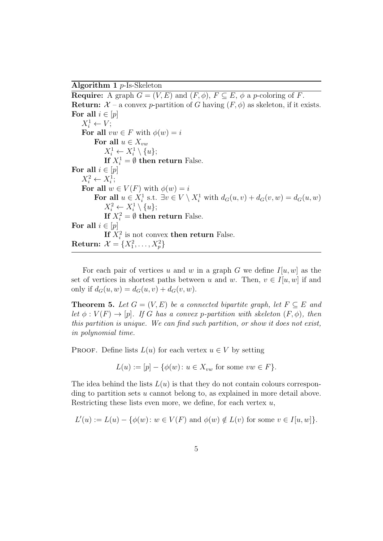**Algorithm 1** *p*-Is-Skeleton

**Require:** A graph  $G = (V, E)$  and  $(F, \phi)$ ,  $F \subseteq E$ ,  $\phi$  a *p*-coloring of *F*. **Return:**  $X$  – a convex *p*-partition of *G* having  $(F, \phi)$  as skeleton, if it exists. For all  $i \in [p]$  $X_i^1 \leftarrow V;$ For all  $vw \in F$  with  $\phi(w) = i$ **For all**  $u \in X_{vw}$  $X_i^1 \leftarrow X_i^1 \setminus \{u\};$ **If**  $X_i^1 = \emptyset$  **then return** False. For all  $i \in [p]$  $X_i^2 \leftarrow X_i^1$ ; For all  $w \in V(F)$  with  $\phi(w) = i$ **For all**  $u \in X_i^1$  s.t.  $\exists v \in V \setminus X_i^1$  with  $d_G(u, v) + d_G(v, w) = d_G(u, w)$  $X_i^2 \leftarrow X_i^1 \setminus \{u\};$ **If**  $X_i^2 = \emptyset$  **then return** False. For all  $i \in [p]$ If  $X_i^2$  is not convex **then return** False. **Return:**  $\mathcal{X} = \{X_1^2, \ldots, X_p^2\}$ 

For each pair of vertices *u* and *w* in a graph *G* we define  $I[u, w]$  as the set of vertices in shortest paths between *u* and *w*. Then,  $v \in I[u, w]$  if and only if  $d_G(u, w) = d_G(u, v) + d_G(v, w)$ .

**Theorem 5.** *Let*  $G = (V, E)$  *be a connected bipartite graph, let*  $F \subseteq E$  *and let*  $\phi: V(F) \to [p]$ *. If G has a convex p-partition with skeleton*  $(F, \phi)$ *, then this partition is unique. We can find such partition, or show it does not exist, in polynomial time.*

PROOF. Define lists  $L(u)$  for each vertex  $u \in V$  by setting

$$
L(u) := [p] - \{\phi(w) \colon u \in X_{vw} \text{ for some } vw \in F\}.
$$

The idea behind the lists  $L(u)$  is that they do not contain colours corresponding to partition sets *u* cannot belong to, as explained in more detail above. Restricting these lists even more, we define, for each vertex *u*,

$$
L'(u) := L(u) - \{\phi(w) \colon w \in V(F) \text{ and } \phi(w) \notin L(v) \text{ for some } v \in I[u, w] \}.
$$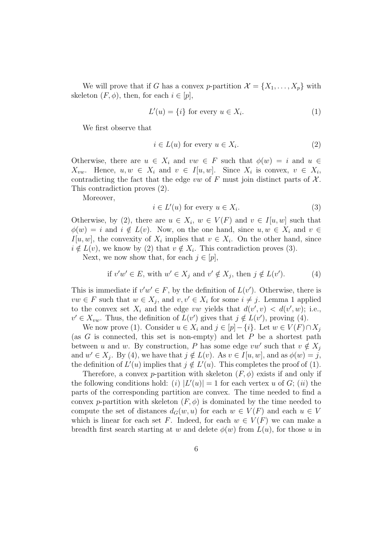We will prove that if *G* has a convex *p*-partition  $\mathcal{X} = \{X_1, \ldots, X_p\}$  with skeleton  $(F, \phi)$ , then, for each  $i \in [p]$ ,

$$
L'(u) = \{i\} \text{ for every } u \in X_i. \tag{1}
$$

We first observe that

$$
i \in L(u) \text{ for every } u \in X_i. \tag{2}
$$

Otherwise, there are  $u \in X_i$  and  $vw \in F$  such that  $\phi(w) = i$  and  $u \in$ *X*<sup>*vw*</sup>. Hence, *u*, *w*  $\in$  *X*<sup>*i*</sup> and *v*  $\in$  *I*[*u, w*]. Since *X*<sub>*i*</sub></sup> is convex, *v*  $\in$  *X*<sub>*i*</sub>, contradicting the fact that the edge  $vw$  of  $F$  must join distinct parts of  $\mathcal{X}$ . This contradiction proves (2).

Moreover,

$$
i \in L'(u) \text{ for every } u \in X_i. \tag{3}
$$

Otherwise, by (2), there are  $u \in X_i$ ,  $w \in V(F)$  and  $v \in I[u, w]$  such that  $\phi(w) = i$  and  $i \notin L(v)$ . Now, on the one hand, since  $u, w \in X_i$  and  $v \in$ *I*[*u, w*], the convexity of  $X_i$  implies that  $v \in X_i$ . On the other hand, since  $i \notin L(v)$ , we know by (2) that  $v \notin X_i$ . This contradiction proves (3).

Next, we now show that, for each  $j \in [p]$ ,

if 
$$
v'w' \in E
$$
, with  $w' \in X_j$  and  $v' \notin X_j$ , then  $j \notin L(v')$ . (4)

This is immediate if  $v'w' \in F$ , by the definition of  $L(v')$ . Otherwise, there is *vw* ∈ *F* such that  $w \in X_j$ , and  $v, v' \in X_i$  for some  $i \neq j$ . Lemma 1 applied to the convex set  $X_i$  and the edge *vw* yields that  $d(v', v) < d(v', w)$ ; i.e.,  $v' \in X_{vw}$ . Thus, the definition of  $L(v')$  gives that  $j \notin L(v')$ , proving (4).

We now prove (1). Consider  $u \in X_i$  and  $j \in [p]-\{i\}$ . Let  $w \in V(F) \cap X_j$ (as *G* is connected, this set is non-empty) and let *P* be a shortest path between *u* and *w*. By construction, *P* has some edge  $vw'$  such that  $v \notin X_j$ and  $w' \in X_j$ . By (4), we have that  $j \notin L(v)$ . As  $v \in I[u, w]$ , and as  $\phi(w) = j$ , the definition of  $L'(u)$  implies that  $j \notin L'(u)$ . This completes the proof of (1).

Therefore, a convex *p*-partition with skeleton  $(F, \phi)$  exists if and only if the following conditions hold: (*i*)  $|L'(u)| = 1$  for each vertex *u* of *G*; (*ii*) the parts of the corresponding partition are convex. The time needed to find a convex *p*-partition with skeleton  $(F, \phi)$  is dominated by the time needed to compute the set of distances  $d_G(w, u)$  for each  $w \in V(F)$  and each  $u \in V$ which is linear for each set *F*. Indeed, for each  $w \in V(F)$  we can make a breadth first search starting at *w* and delete  $\phi(w)$  from  $L(u)$ , for those *u* in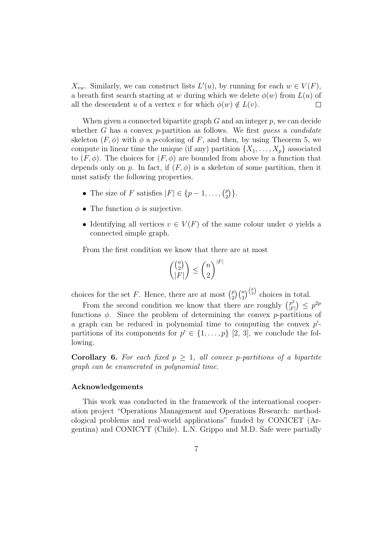*X*<sub>*vw*</sub>. Similarly, we can construct lists  $L'(u)$ , by running for each  $w \in V(F)$ , a breath first search starting at *w* during which we delete  $\phi(w)$  from  $L(u)$  of all the descendent *u* of a vertex *v* for which  $\phi(w) \notin L(v)$ .  $\Box$ 

When given a connected bipartite graph *G* and an integer *p*, we can decide whether *G* has a convex *p*-partition as follows. We first *guess* a *candidate* skeleton  $(F, \phi)$  with  $\phi$  a *p*-coloring of *F*, and then, by using Theorem 5, we compute in linear time the unique (if any) partition  $\{X_1, \ldots, X_p\}$  associated to  $(F, \phi)$ . The choices for  $(F, \phi)$  are bounded from above by a function that depends only on *p*. In fact, if  $(F, \phi)$  is a skeleton of some partition, then it must satisfy the following properties.

- The size of *F* satisfies  $|F| \in \{p-1, \ldots, \binom{p}{2}\}$  $\binom{p}{2}$ .
- *•* The function *ϕ* is surjective.
- Identifying all vertices  $v \in V(F)$  of the same colour under  $\phi$  yields a connected simple graph.

From the first condition we know that there are at most

$$
\binom{\binom{n}{2}}{|F|} \le \binom{n}{2}^{|F|}
$$

choices for the set *F*. Hence, there are at most  $\binom{p}{2}$  $\binom{p}{2}\binom{n}{2}$  choices in total.

From the second condition we know that there are roughly  $\binom{p^2}{E}$ *|F| j* ≤  $p^{2p}$ functions *ϕ*. Since the problem of determining the convex *p*-partitions of a graph can be reduced in polynomial time to computing the convex *p ′* partitions of its components for  $p' \in \{1, \ldots, p\}$  [2, 3], we conclude the following.

**Corollary 6.** For each fixed  $p \geq 1$ , all convex *p*-partitions of a bipartite *graph can be enumerated in polynomial time.*

#### **Acknowledgements**

This work was conducted in the framework of the international cooperation project "Operations Management and Operations Research: methodological problems and real-world applications" funded by CONICET (Argentina) and CONICYT (Chile). L.N. Grippo and M.D. Safe were partially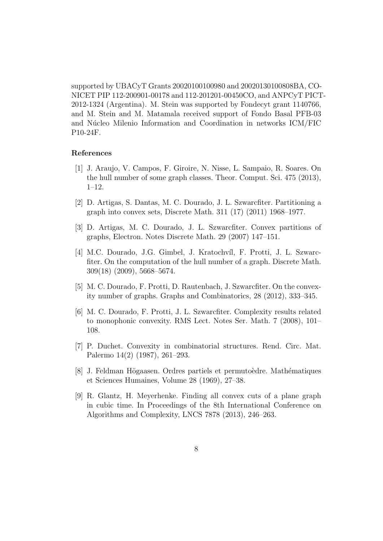supported by UBACyT Grants 20020100100980 and 20020130100808BA, CO-NICET PIP 112-200901-00178 and 112-201201-00450CO, and ANPCyT PICT-2012-1324 (Argentina). M. Stein was supported by Fondecyt grant 1140766, and M. Stein and M. Matamala received support of Fondo Basal PFB-03 and Núcleo Milenio Information and Coordination in networks ICM/FIC P10-24F.

## **References**

- [1] J. Araujo, V. Campos, F. Giroire, N. Nisse, L. Sampaio, R. Soares. On the hull number of some graph classes. Theor. Comput. Sci. 475 (2013), 1–12.
- [2] D. Artigas, S. Dantas, M. C. Dourado, J. L. Szwarcfiter. Partitioning a graph into convex sets, Discrete Math. 311 (17) (2011) 1968–1977.
- [3] D. Artigas, M. C. Dourado, J. L. Szwarcfiter. Convex partitions of graphs, Electron. Notes Discrete Math. 29 (2007) 147–151.
- [4] M.C. Dourado, J.G. Gimbel, J. Kratochvíl, F. Protti, J. L. Szwarcfiter. On the computation of the hull number of a graph. Discrete Math. 309(18) (2009), 5668–5674.
- [5] M. C. Dourado, F. Protti, D. Rautenbach, J. Szwarcfiter. On the convexity number of graphs. Graphs and Combinatorics, 28 (2012), 333–345.
- [6] M. C. Dourado, F. Protti, J. L. Szwarcfiter. Complexity results related to monophonic convexity. RMS Lect. Notes Ser. Math. 7 (2008), 101– 108.
- [7] P. Duchet. Convexity in combinatorial structures. Rend. Circ. Mat. Palermo 14(2) (1987), 261–293.
- [8] J. Feldman Högaasen. Ordres partiels et permutoèdre. Mathématiques et Sciences Humaines, Volume 28 (1969), 27–38.
- [9] R. Glantz, H. Meyerhenke. Finding all convex cuts of a plane graph in cubic time. In Proceedings of the 8th International Conference on Algorithms and Complexity, LNCS 7878 (2013), 246–263.